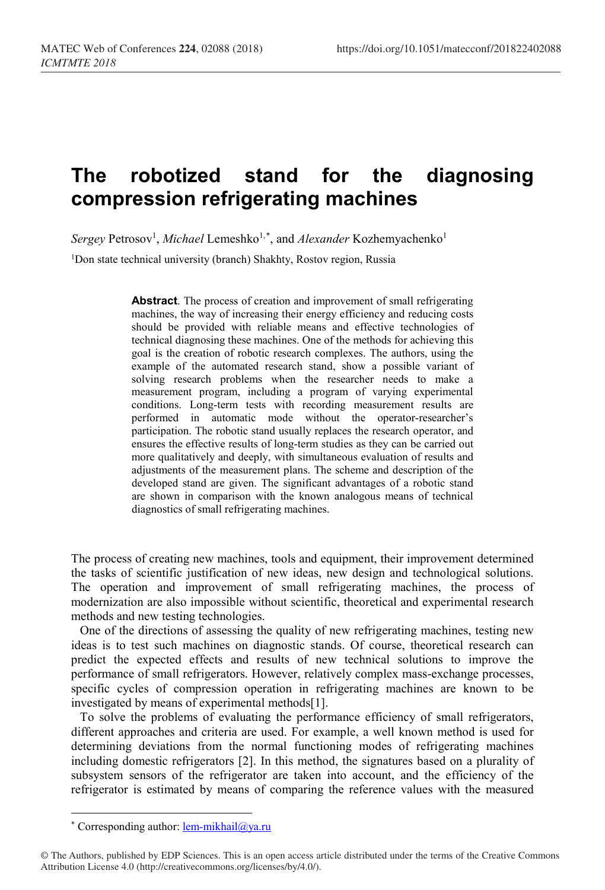## **The robotized stand for the diagnosing compression refrigerating machines**

 $Sergey$  Petrosov<sup>1</sup>, *Michael* Lemeshko<sup>1,[\\*](#page-0-0)</sup>, and *Alexander* Kozhemyachenko<sup>1</sup>

1Don state technical university (branch) Shakhty, Rostov region, Russia

**Abstract**. The process of creation and improvement of small refrigerating machines, the way of increasing their energy efficiency and reducing costs should be provided with reliable means and effective technologies of technical diagnosing these machines. One of the methods for achieving this goal is the creation of robotic research complexes. The authors, using the example of the automated research stand, show a possible variant of solving research problems when the researcher needs to make a measurement program, including a program of varying experimental conditions. Long-term tests with recording measurement results are performed in automatic mode without the operator-researcher's participation. The robotic stand usually replaces the research operator, and ensures the effective results of long-term studies as they can be carried out more qualitatively and deeply, with simultaneous evaluation of results and adjustments of the measurement plans. The scheme and description of the developed stand are given. The significant advantages of a robotic stand are shown in comparison with the known analogous means of technical diagnostics of small refrigerating machines.

The process of creating new machines, tools and equipment, their improvement determined the tasks of scientific justification of new ideas, new design and technological solutions. The operation and improvement of small refrigerating machines, the process of modernization are also impossible without scientific, theoretical and experimental research methods and new testing technologies.

One of the directions of assessing the quality of new refrigerating machines, testing new ideas is to test such machines on diagnostic stands. Of course, theoretical research can predict the expected effects and results of new technical solutions to improve the performance of small refrigerators. However, relatively complex mass-exchange processes, specific cycles of compression operation in refrigerating machines are known to be investigated by means of experimental methods[1].

To solve the problems of evaluating the performance efficiency of small refrigerators, different approaches and criteria are used. For example, a well known method is used for determining deviations from the normal functioning modes of refrigerating machines including domestic refrigerators [2]. In this method, the signatures based on a plurality of subsystem sensors of the refrigerator are taken into account, and the efficiency of the refrigerator is estimated by means of comparing the reference values with the measured

 $\overline{\phantom{a}}$ 

<sup>\*</sup> Corresponding author: <u>lem-mikhail@ya.ru</u>

<span id="page-0-0"></span><sup>©</sup> The Authors, published by EDP Sciences. This is an open access article distributed under the terms of the Creative Commons Attribution License 4.0 (http://creativecommons.org/licenses/by/4.0/).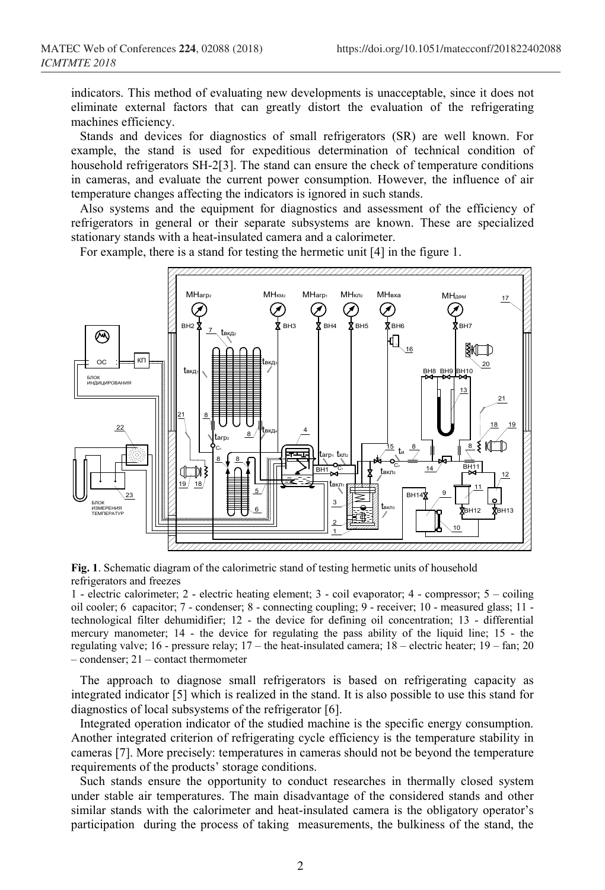indicators. This method of evaluating new developments is unacceptable, since it does not eliminate external factors that can greatly distort the evaluation of the refrigerating machines efficiency.

Stands and devices for diagnostics of small refrigerators (SR) are well known. For example, the stand is used for expeditious determination of technical condition of household refrigerators SH-2[3]. The stand can ensure the check of temperature conditions in cameras, and evaluate the current power consumption. However, the influence of air temperature changes affecting the indicators is ignored in such stands.

Also systems and the equipment for diagnostics and assessment of the efficiency of refrigerators in general or their separate subsystems are known. These are specialized stationary stands with a heat-insulated camera and a calorimeter.

For example, there is a stand for testing the hermetic unit [4] in the figure 1.



**Fig. 1**. Schematic diagram of the calorimetric stand of testing hermetic units of household refrigerators and freezes

1 - electric calorimeter; 2 - electric heating element; 3 - coil evaporator; 4 - compressor; 5 – coiling oil cooler; 6 capacitor; 7 - condenser; 8 - connecting coupling; 9 - receiver; 10 - measured glass; 11 technological filter dehumidifier; 12 - the device for defining oil concentration; 13 - differential mercury manometer; 14 - the device for regulating the pass ability of the liquid line; 15 - the regulating valve; 16 - pressure relay; 17 – the heat-insulated camera; 18 – electric heater; 19 – fan; 20 – condenser; 21 – contact thermometer

The approach to diagnose small refrigerators is based on refrigerating capacity as integrated indicator [5] which is realized in the stand. It is also possible to use this stand for diagnostics of local subsystems of the refrigerator [6].

Integrated operation indicator of the studied machine is the specific energy consumption. Another integrated criterion of refrigerating cycle efficiency is the temperature stability in cameras [7]. More precisely: temperatures in cameras should not be beyond the temperature requirements of the products' storage conditions.

Such stands ensure the opportunity to conduct researches in thermally closed system under stable air temperatures. The main disadvantage of the considered stands and other similar stands with the calorimeter and heat-insulated camera is the obligatory operator's participation during the process of taking measurements, the bulkiness of the stand, the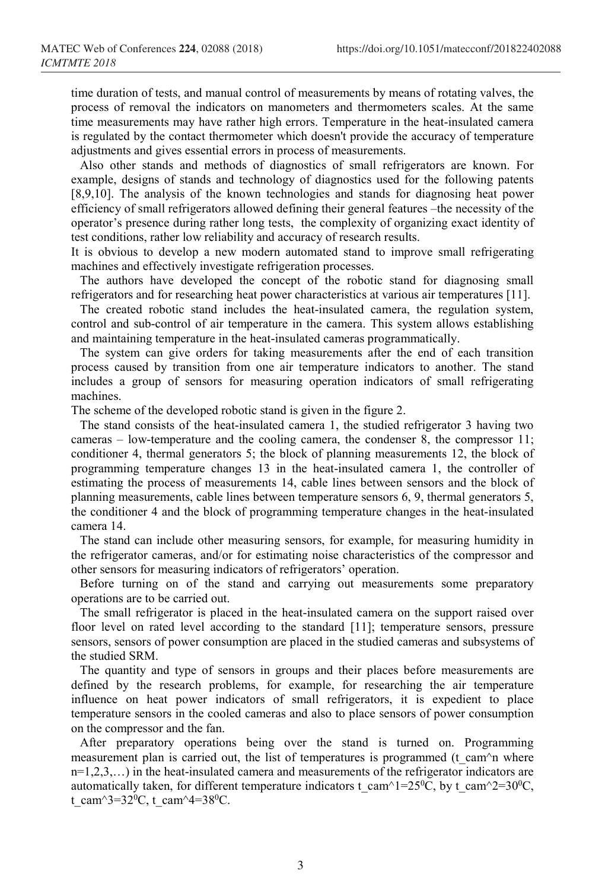time duration of tests, and manual control of measurements by means of rotating valves, the process of removal the indicators on manometers and thermometers scales. At the same time measurements may have rather high errors. Temperature in the heat-insulated camera is regulated by the contact thermometer which doesn't provide the accuracy of temperature adjustments and gives essential errors in process of measurements.

Also other stands and methods of diagnostics of small refrigerators are known. For example, designs of stands and technology of diagnostics used for the following patents [8,9,10]. The analysis of the known technologies and stands for diagnosing heat power efficiency of small refrigerators allowed defining their general features –the necessity of the operator's presence during rather long tests, the complexity of organizing exact identity of test conditions, rather low reliability and accuracy of research results.

It is obvious to develop a new modern automated stand to improve small refrigerating machines and effectively investigate refrigeration processes.

The authors have developed the concept of the robotic stand for diagnosing small refrigerators and for researching heat power characteristics at various air temperatures [11].

The created robotic stand includes the heat-insulated camera, the regulation system, control and sub-control of air temperature in the camera. This system allows establishing and maintaining temperature in the heat-insulated cameras programmatically.

The system can give orders for taking measurements after the end of each transition process caused by transition from one air temperature indicators to another. The stand includes a group of sensors for measuring operation indicators of small refrigerating machines.

The scheme of the developed robotic stand is given in the figure 2.

The stand consists of the heat-insulated camera 1, the studied refrigerator 3 having two cameras – low-temperature and the cooling camera, the condenser 8, the compressor 11; conditioner 4, thermal generators 5; the block of planning measurements 12, the block of programming temperature changes 13 in the heat-insulated camera 1, the controller of estimating the process of measurements 14, cable lines between sensors and the block of planning measurements, cable lines between temperature sensors 6, 9, thermal generators 5, the conditioner 4 and the block of programming temperature changes in the heat-insulated camera 14.

The stand can include other measuring sensors, for example, for measuring humidity in the refrigerator cameras, and/or for estimating noise characteristics of the compressor and other sensors for measuring indicators of refrigerators' operation.

Before turning on of the stand and carrying out measurements some preparatory operations are to be carried out.

The small refrigerator is placed in the heat-insulated camera on the support raised over floor level on rated level according to the standard [11]; temperature sensors, pressure sensors, sensors of power consumption are placed in the studied cameras and subsystems of the studied SRM.

The quantity and type of sensors in groups and their places before measurements are defined by the research problems, for example, for researching the air temperature influence on heat power indicators of small refrigerators, it is expedient to place temperature sensors in the cooled cameras and also to place sensors of power consumption on the compressor and the fan.

After preparatory operations being over the stand is turned on. Programming measurement plan is carried out, the list of temperatures is programmed ( $t$  cam $\hat{}$ n where n=1,2,3,…) in the heat-insulated camera and measurements of the refrigerator indicators are automatically taken, for different temperature indicators t\_cam^1=25 $\rm{^0C}$ , by t\_cam^2=30 $\rm{^0C}$ , t\_cam^3=32<sup>0</sup>C, t\_cam^4=38<sup>0</sup>C.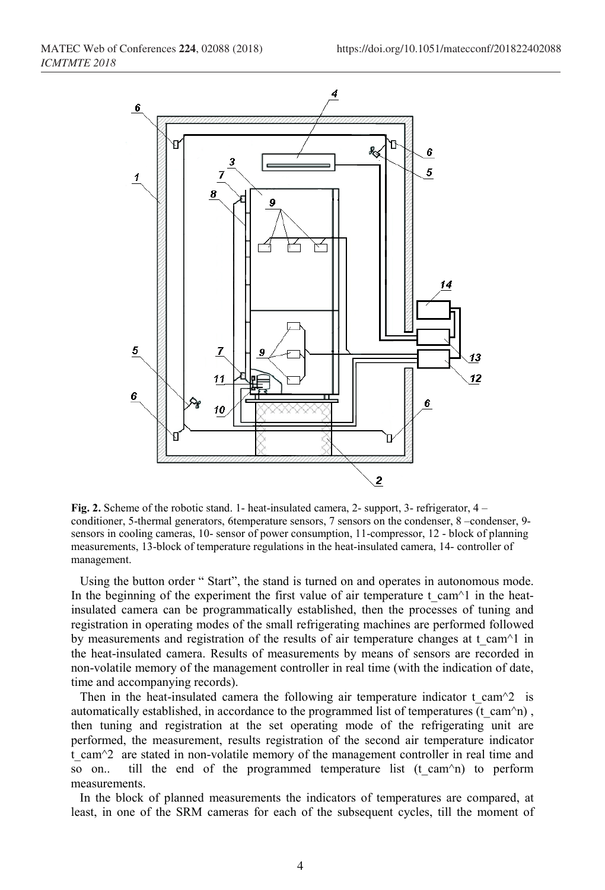

**Fig. 2.** Scheme of the robotic stand. 1- heat-insulated camera, 2- support, 3- refrigerator, 4 – conditioner, 5-thermal generators, 6temperature sensors, 7 sensors on the condenser, 8 –condenser, 9sensors in cooling cameras, 10- sensor of power consumption, 11-compressor, 12 - block of planning measurements, 13-block of temperature regulations in the heat-insulated camera, 14- controller of management.

Using the button order " Start", the stand is turned on and operates in autonomous mode. In the beginning of the experiment the first value of air temperature  $t$  cam $\hat{ }$  in the heatinsulated camera can be programmatically established, then the processes of tuning and registration in operating modes of the small refrigerating machines are performed followed by measurements and registration of the results of air temperature changes at t $cam^1$  in the heat-insulated camera. Results of measurements by means of sensors are recorded in non-volatile memory of the management controller in real time (with the indication of date, time and accompanying records).

Then in the heat-insulated camera the following air temperature indicator t cam $\gamma$  is automatically established, in accordance to the programmed list of temperatures (t cam $\gamma$ n), then tuning and registration at the set operating mode of the refrigerating unit are performed, the measurement, results registration of the second air temperature indicator t cam $\gamma$  are stated in non-volatile memory of the management controller in real time and so on.. till the end of the programmed temperature list  $(t<sub>cam</sub><sup>n</sup>)$  to perform measurements.

In the block of planned measurements the indicators of temperatures are compared, at least, in one of the SRM cameras for each of the subsequent cycles, till the moment of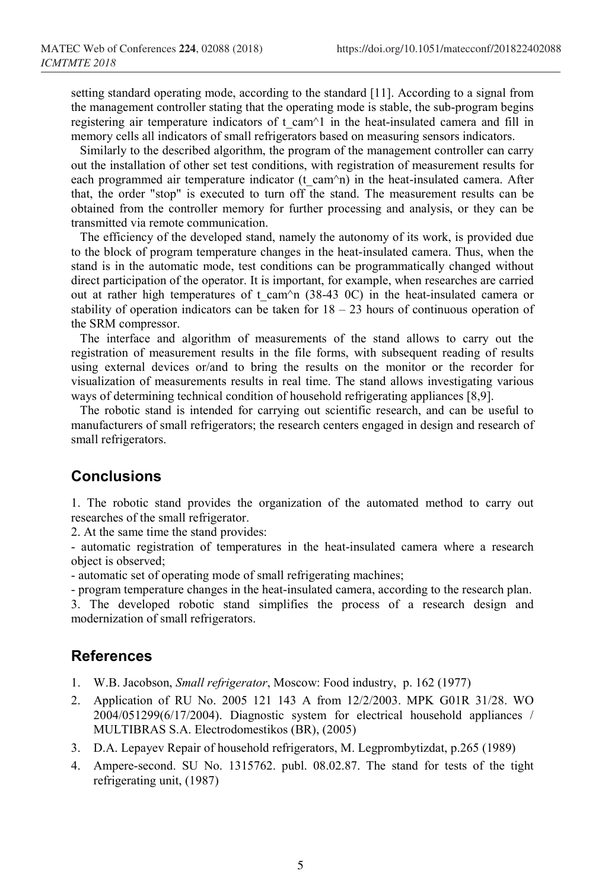setting standard operating mode, according to the standard [11]. According to a signal from the management controller stating that the operating mode is stable, the sub-program begins registering air temperature indicators of t\_cam^1 in the heat-insulated camera and fill in memory cells all indicators of small refrigerators based on measuring sensors indicators.

Similarly to the described algorithm, the program of the management controller can carry out the installation of other set test conditions, with registration of measurement results for each programmed air temperature indicator  $(t \text{ cam}^n)$  in the heat-insulated camera. After that, the order "stop" is executed to turn off the stand. The measurement results can be obtained from the controller memory for further processing and analysis, or they can be transmitted via remote communication.

The efficiency of the developed stand, namely the autonomy of its work, is provided due to the block of program temperature changes in the heat-insulated camera. Thus, when the stand is in the automatic mode, test conditions can be programmatically changed without direct participation of the operator. It is important, for example, when researches are carried out at rather high temperatures of t cam<sup> $\land$ </sup>n (38-43 0C) in the heat-insulated camera or stability of operation indicators can be taken for  $18 - 23$  hours of continuous operation of the SRM compressor.

The interface and algorithm of measurements of the stand allows to carry out the registration of measurement results in the file forms, with subsequent reading of results using external devices or/and to bring the results on the monitor or the recorder for visualization of measurements results in real time. The stand allows investigating various ways of determining technical condition of household refrigerating appliances [8,9].

The robotic stand is intended for carrying out scientific research, and can be useful to manufacturers of small refrigerators; the research centers engaged in design and research of small refrigerators.

## **Conclusions**

1. The robotic stand provides the organization of the automated method to carry out researches of the small refrigerator.

2. At the same time the stand provides:

- automatic registration of temperatures in the heat-insulated camera where a research object is observed;

- automatic set of operating mode of small refrigerating machines;

- program temperature changes in the heat-insulated camera, according to the research plan.

3. The developed robotic stand simplifies the process of a research design and modernization of small refrigerators.

## **References**

- 1. W.B. Jacobson, *Small refrigerator*, Moscow: Food industry, р. 162 (1977)
- 2. Application of RU No. 2005 121 143 A from 12/2/2003. MPK G01R 31/28. WO 2004/051299(6/17/2004). Diagnostic system for electrical household appliances / MULTIBRAS S.A. Electrodomestikos (BR), (2005)
- 3. D.A. Lepayev Repair of household refrigerators, M. Legprombytizdat, p.265 (1989)
- 4. Ampere-second. SU No. 1315762. publ. 08.02.87. The stand for tests of the tight refrigerating unit, (1987)